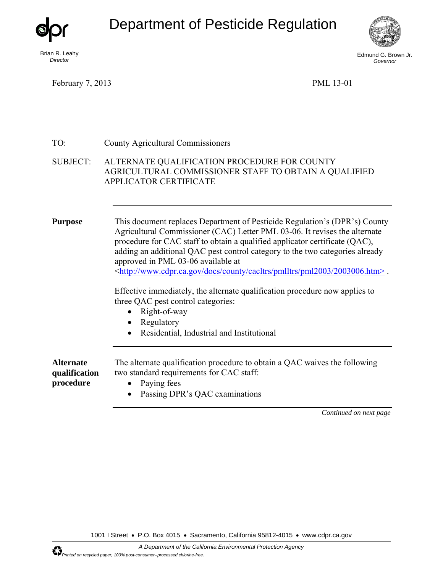Department of Pesticide Regulation



*Director* 

Edmund G. Brown Jr. *Governor* 

February 7, 2013 PML 13-01

| TO:                                            | <b>County Agricultural Commissioners</b>                                                                                                                                                                                                                                                                                                                                                                                                                                                                                                                                                                                                                                                                                                                                                 |  |
|------------------------------------------------|------------------------------------------------------------------------------------------------------------------------------------------------------------------------------------------------------------------------------------------------------------------------------------------------------------------------------------------------------------------------------------------------------------------------------------------------------------------------------------------------------------------------------------------------------------------------------------------------------------------------------------------------------------------------------------------------------------------------------------------------------------------------------------------|--|
| <b>SUBJECT:</b>                                | ALTERNATE QUALIFICATION PROCEDURE FOR COUNTY<br>AGRICULTURAL COMMISSIONER STAFF TO OBTAIN A QUALIFIED<br><b>APPLICATOR CERTIFICATE</b>                                                                                                                                                                                                                                                                                                                                                                                                                                                                                                                                                                                                                                                   |  |
| <b>Purpose</b>                                 | This document replaces Department of Pesticide Regulation's (DPR's) County<br>Agricultural Commissioner (CAC) Letter PML 03-06. It revises the alternate<br>procedure for CAC staff to obtain a qualified applicator certificate (QAC),<br>adding an additional QAC pest control category to the two categories already<br>approved in PML 03-06 available at<br><http: 2003006.htm="" cacltrs="" county="" docs="" pml2003="" pmlltrs="" www.cdpr.ca.gov="">.<br/>Effective immediately, the alternate qualification procedure now applies to<br/>three QAC pest control categories:<br/>Right-of-way<br/><math>\bullet</math><br/>Regulatory<br/><math display="inline">\bullet</math><br/>Residential, Industrial and Institutional<br/><math display="inline">\bullet</math></http:> |  |
| <b>Alternate</b><br>qualification<br>procedure | The alternate qualification procedure to obtain a QAC waives the following<br>two standard requirements for CAC staff:<br>Paying fees<br>$\bullet$<br>Passing DPR's QAC examinations<br>$\bullet$                                                                                                                                                                                                                                                                                                                                                                                                                                                                                                                                                                                        |  |

*Continued on next page* 

1001 I Street • P.O. Box 4015 • Sacramento, California 95812-4015 • www.cdpr.ca.gov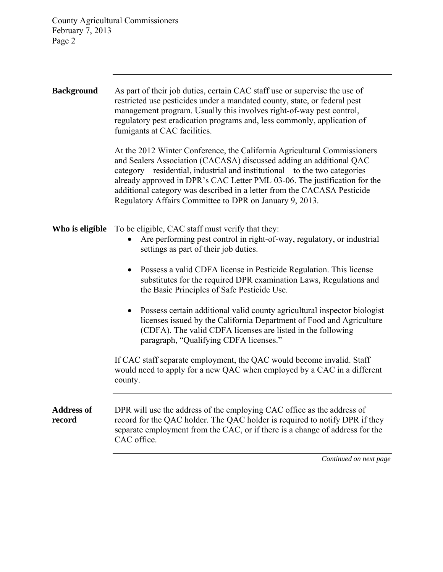County Agricultural Commissioners February 7, 2013 Page 2

## *Continued on next page* **Background** As part of their job duties, certain CAC staff use or supervise the use of restricted use pesticides under a mandated county, state, or federal pest management program. Usually this involves right-of-way pest control, regulatory pest eradication programs and, less commonly, application of fumigants at CAC facilities. At the 2012 Winter Conference, the California Agricultural Commissioners and Sealers Association (CACASA) discussed adding an additional QAC category – residential, industrial and institutional – to the two categories already approved in DPR's CAC Letter PML 03-06. The justification for the additional category was described in a letter from the CACASA Pesticide Regulatory Affairs Committee to DPR on January 9, 2013. **Who is eligible** To be eligible, CAC staff must verify that they: Are performing pest control in right-of-way, regulatory, or industrial settings as part of their job duties. Possess a valid CDFA license in Pesticide Regulation. This license substitutes for the required DPR examination Laws, Regulations and the Basic Principles of Safe Pesticide Use. Possess certain additional valid county agricultural inspector biologist licenses issued by the California Department of Food and Agriculture (CDFA). The valid CDFA licenses are listed in the following paragraph, "Qualifying CDFA licenses." If CAC staff separate employment, the QAC would become invalid. Staff would need to apply for a new QAC when employed by a CAC in a different county. **Address of record** DPR will use the address of the employing CAC office as the address of record for the QAC holder. The QAC holder is required to notify DPR if they separate employment from the CAC, or if there is a change of address for the CAC office.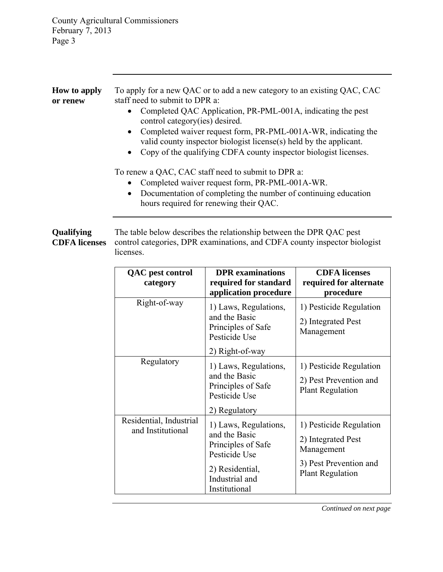| <b>How to apply</b><br>or renew    | To apply for a new QAC or to add a new category to an existing QAC, CAC<br>staff need to submit to DPR a:<br>Completed QAC Application, PR-PML-001A, indicating the pest<br>$\bullet$<br>control category (ies) desired.<br>Completed waiver request form, PR-PML-001A-WR, indicating the<br>valid county inspector biologist license(s) held by the applicant.<br>• Copy of the qualifying CDFA county inspector biologist licenses. |
|------------------------------------|---------------------------------------------------------------------------------------------------------------------------------------------------------------------------------------------------------------------------------------------------------------------------------------------------------------------------------------------------------------------------------------------------------------------------------------|
|                                    | To renew a QAC, CAC staff need to submit to DPR a:<br>Completed waiver request form, PR-PML-001A-WR.<br>Documentation of completing the number of continuing education<br>$\bullet$<br>hours required for renewing their QAC.                                                                                                                                                                                                         |
| Qualifying<br><b>CDFA</b> licenses | The table below describes the relationship between the DPR QAC pest<br>control categories, DPR examinations, and CDFA county inspector biologist                                                                                                                                                                                                                                                                                      |

control categories, DPR examinations, and CDFA county inspector biologist licenses.

| <b>QAC</b> pest control                      | <b>DPR</b> examinations                                                                                                             | <b>CDFA</b> licenses                                                                                             |
|----------------------------------------------|-------------------------------------------------------------------------------------------------------------------------------------|------------------------------------------------------------------------------------------------------------------|
| category                                     | required for standard                                                                                                               | required for alternate                                                                                           |
|                                              | application procedure                                                                                                               | procedure                                                                                                        |
| Right-of-way                                 | 1) Laws, Regulations,<br>and the Basic<br>Principles of Safe<br>Pesticide Use                                                       | 1) Pesticide Regulation<br>2) Integrated Pest<br>Management                                                      |
|                                              | 2) Right-of-way                                                                                                                     |                                                                                                                  |
| Regulatory                                   | 1) Laws, Regulations,<br>and the Basic<br>Principles of Safe<br>Pesticide Use<br>2) Regulatory                                      | 1) Pesticide Regulation<br>2) Pest Prevention and<br><b>Plant Regulation</b>                                     |
| Residential, Industrial<br>and Institutional | 1) Laws, Regulations,<br>and the Basic<br>Principles of Safe<br>Pesticide Use<br>2) Residential,<br>Industrial and<br>Institutional | 1) Pesticide Regulation<br>2) Integrated Pest<br>Management<br>3) Pest Prevention and<br><b>Plant Regulation</b> |